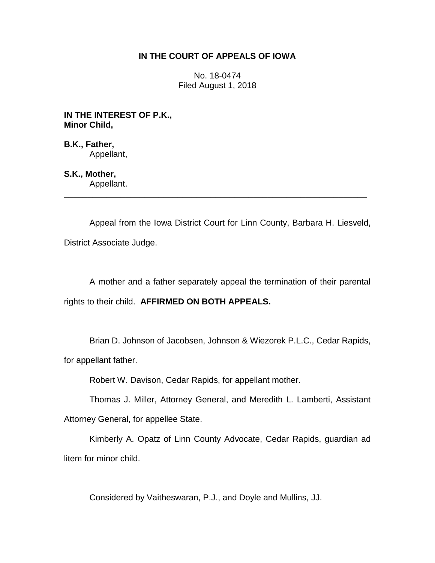## **IN THE COURT OF APPEALS OF IOWA**

No. 18-0474 Filed August 1, 2018

**IN THE INTEREST OF P.K., Minor Child,**

**B.K., Father,** Appellant,

**S.K., Mother,** Appellant.

Appeal from the Iowa District Court for Linn County, Barbara H. Liesveld, District Associate Judge.

\_\_\_\_\_\_\_\_\_\_\_\_\_\_\_\_\_\_\_\_\_\_\_\_\_\_\_\_\_\_\_\_\_\_\_\_\_\_\_\_\_\_\_\_\_\_\_\_\_\_\_\_\_\_\_\_\_\_\_\_\_\_\_\_

A mother and a father separately appeal the termination of their parental rights to their child. **AFFIRMED ON BOTH APPEALS.**

Brian D. Johnson of Jacobsen, Johnson & Wiezorek P.L.C., Cedar Rapids,

for appellant father.

Robert W. Davison, Cedar Rapids, for appellant mother.

Thomas J. Miller, Attorney General, and Meredith L. Lamberti, Assistant Attorney General, for appellee State.

Kimberly A. Opatz of Linn County Advocate, Cedar Rapids, guardian ad litem for minor child.

Considered by Vaitheswaran, P.J., and Doyle and Mullins, JJ.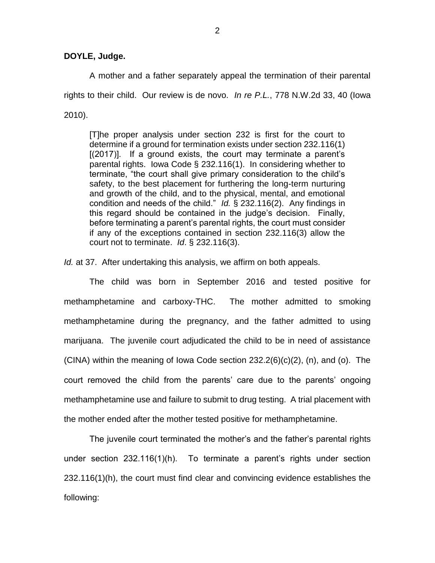## **DOYLE, Judge.**

A mother and a father separately appeal the termination of their parental rights to their child. Our review is de novo. *In re P.L.*, 778 N.W.2d 33, 40 (Iowa 2010).

[T]he proper analysis under section 232 is first for the court to determine if a ground for termination exists under section 232.116(1) [(2017)]. If a ground exists, the court may terminate a parent's parental rights. Iowa Code § 232.116(1). In considering whether to terminate, "the court shall give primary consideration to the child's safety, to the best placement for furthering the long-term nurturing and growth of the child, and to the physical, mental, and emotional condition and needs of the child." *Id.* § 232.116(2). Any findings in this regard should be contained in the judge's decision. Finally, before terminating a parent's parental rights, the court must consider if any of the exceptions contained in section 232.116(3) allow the court not to terminate. *Id*. § 232.116(3).

*Id.* at 37. After undertaking this analysis, we affirm on both appeals.

The child was born in September 2016 and tested positive for methamphetamine and carboxy-THC. The mother admitted to smoking methamphetamine during the pregnancy, and the father admitted to using marijuana. The juvenile court adjudicated the child to be in need of assistance  $(CINA)$  within the meaning of Iowa Code section  $232.2(6)(c)(2)$ , (n), and (o). The court removed the child from the parents' care due to the parents' ongoing methamphetamine use and failure to submit to drug testing. A trial placement with the mother ended after the mother tested positive for methamphetamine.

The juvenile court terminated the mother's and the father's parental rights under section 232.116(1)(h). To terminate a parent's rights under section 232.116(1)(h), the court must find clear and convincing evidence establishes the following: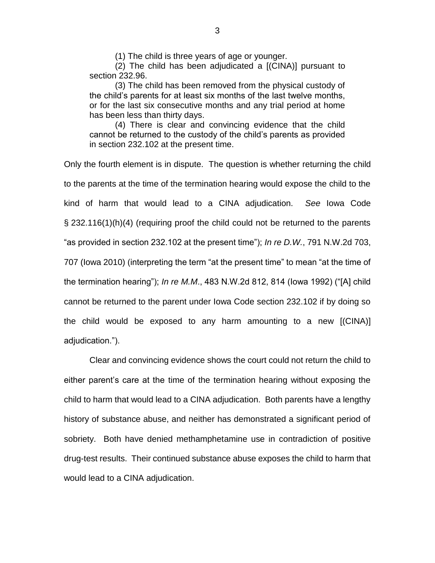(1) The child is three years of age or younger.

(2) The child has been adjudicated a [(CINA)] pursuant to section 232.96.

(3) The child has been removed from the physical custody of the child's parents for at least six months of the last twelve months, or for the last six consecutive months and any trial period at home has been less than thirty days.

(4) There is clear and convincing evidence that the child cannot be returned to the custody of the child's parents as provided in section 232.102 at the present time.

Only the fourth element is in dispute. The question is whether returning the child to the parents at the time of the termination hearing would expose the child to the kind of harm that would lead to a CINA adjudication. *See* Iowa Code § 232.116(1)(h)(4) (requiring proof the child could not be returned to the parents "as provided in section 232.102 at the present time"); *In re D.W.*, 791 N.W.2d 703, 707 (Iowa 2010) (interpreting the term "at the present time" to mean "at the time of the termination hearing"); *In re M.M*., 483 N.W.2d 812, 814 (Iowa 1992) ("[A] child cannot be returned to the parent under Iowa Code section 232.102 if by doing so the child would be exposed to any harm amounting to a new [(CINA)] adjudication.").

Clear and convincing evidence shows the court could not return the child to either parent's care at the time of the termination hearing without exposing the child to harm that would lead to a CINA adjudication. Both parents have a lengthy history of substance abuse, and neither has demonstrated a significant period of sobriety. Both have denied methamphetamine use in contradiction of positive drug-test results. Their continued substance abuse exposes the child to harm that would lead to a CINA adjudication.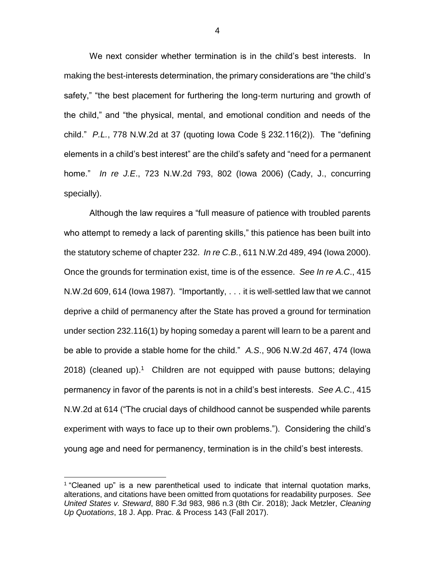We next consider whether termination is in the child's best interests. In making the best-interests determination, the primary considerations are "the child's safety," "the best placement for furthering the long-term nurturing and growth of the child," and "the physical, mental, and emotional condition and needs of the child." *P.L.*, 778 N.W.2d at 37 (quoting Iowa Code § 232.116(2)). The "defining elements in a child's best interest" are the child's safety and "need for a permanent home." *In re J.E*., 723 N.W.2d 793, 802 (Iowa 2006) (Cady, J., concurring specially).

Although the law requires a "full measure of patience with troubled parents who attempt to remedy a lack of parenting skills," this patience has been built into the statutory scheme of chapter 232. *In re C.B.*, 611 N.W.2d 489, 494 (Iowa 2000). Once the grounds for termination exist, time is of the essence. *See In re A.C*., 415 N.W.2d 609, 614 (Iowa 1987). "Importantly, . . . it is well-settled law that we cannot deprive a child of permanency after the State has proved a ground for termination under section 232.116(1) by hoping someday a parent will learn to be a parent and be able to provide a stable home for the child." *A.S*., 906 N.W.2d 467, 474 (Iowa 2018) (cleaned up).<sup>1</sup> Children are not equipped with pause buttons; delaying permanency in favor of the parents is not in a child's best interests. *See A.C*., 415 N.W.2d at 614 ("The crucial days of childhood cannot be suspended while parents experiment with ways to face up to their own problems."). Considering the child's young age and need for permanency, termination is in the child's best interests.

 $\overline{a}$ 

<sup>&</sup>lt;sup>1</sup> "Cleaned up" is a new parenthetical used to indicate that internal quotation marks, alterations, and citations have been omitted from quotations for readability purposes. *See United States v. Steward*, 880 F.3d 983, 986 n.3 (8th Cir. 2018); Jack Metzler, *Cleaning Up Quotations*, 18 J. App. Prac. & Process 143 (Fall 2017).